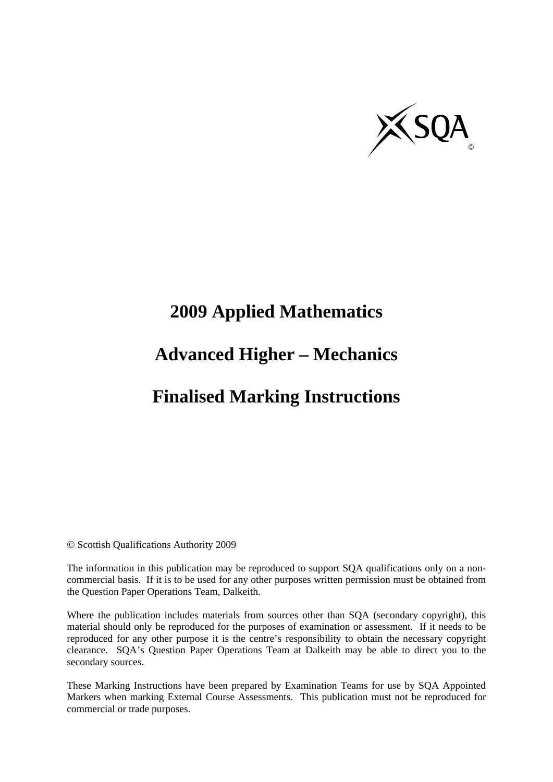

# **2009 Applied Mathematics**

## **Advanced Higher – Mechanics**

## **Finalised Marking Instructions**

© Scottish Qualifications Authority 2009

The information in this publication may be reproduced to support SQA qualifications only on a noncommercial basis. If it is to be used for any other purposes written permission must be obtained from the Question Paper Operations Team, Dalkeith.

Where the publication includes materials from sources other than SQA (secondary copyright), this material should only be reproduced for the purposes of examination or assessment. If it needs to be reproduced for any other purpose it is the centre's responsibility to obtain the necessary copyright clearance. SQA's Question Paper Operations Team at Dalkeith may be able to direct you to the secondary sources.

These Marking Instructions have been prepared by Examination Teams for use by SQA Appointed Markers when marking External Course Assessments. This publication must not be reproduced for commercial or trade purposes.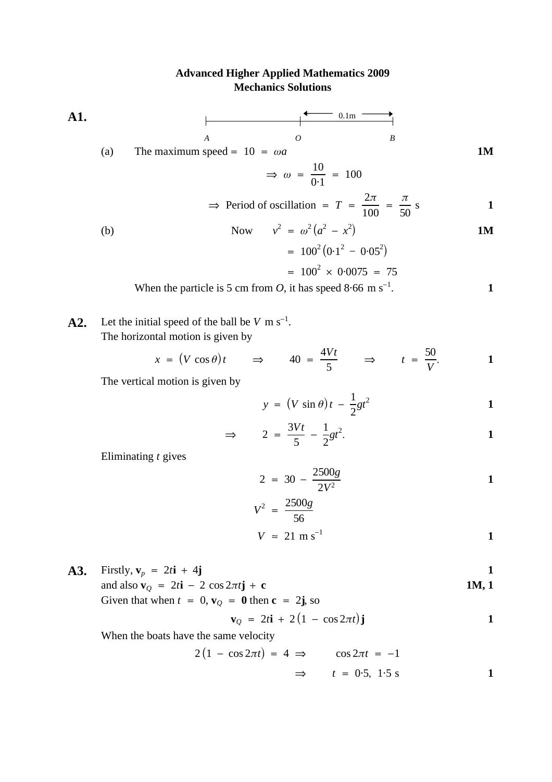#### **Advanced Higher Applied Mathematics 2009 Mechanics Solutions**

**A1.**

\n(a) The maximum speed = 
$$
10 = \omega a
$$
 and  $\omega = \frac{10}{0.1} = 100$ 

\n $\Rightarrow \omega = \frac{10}{0.1} = 100$ 

\n $\Rightarrow \text{Period of oscillation} = T = \frac{2\pi}{100} = \frac{\pi}{50} \text{ s}$ 

\n(b) Now  $v^2 = \omega^2 (a^2 - x^2)$ 

\n $= 100^2 (0.1^2 - 0.05^2)$ 

\n $= 100^2 \times 0.0075 = 75$ 

When the particle is 5 cm from *O*, it has speed  $8.66$  m s<sup>-1</sup>. 1

**A2.** Let the initial speed of the ball be  $V \text{ m s}^{-1}$ . The horizontal motion is given by

$$
x = (V \cos \theta)t \qquad \Rightarrow \qquad 40 = \frac{4Vt}{5} \qquad \Rightarrow \qquad t = \frac{50}{V}.
$$

The vertical motion is given by

$$
y = (V \sin \theta) t - \frac{1}{2}gt^2
$$

$$
\Rightarrow \qquad 2 = \frac{3Vt}{5} - \frac{1}{2}gt^2.
$$

Eliminating  $t$  gives

$$
2 = 30 - \frac{2500g}{2V^2}
$$

$$
V^2 = \frac{2500g}{56}
$$
  

$$
V \approx 21 \text{ m s}^{-1}
$$

**A3.** Firstly, 
$$
\mathbf{v}_p = 2t\mathbf{i} + 4\mathbf{j}
$$
  
and also  $\mathbf{v}_Q = 2t\mathbf{i} - 2\cos 2\pi t\mathbf{j} + \mathbf{c}$   
Given that when  $t = 0$ ,  $\mathbf{v}_Q = \mathbf{0}$  then  $\mathbf{c} = 2\mathbf{j}$ , so

$$
\mathbf{v}_Q = 2t\mathbf{i} + 2(1 - \cos 2\pi t)\mathbf{j}
$$

When the boats have the same velocity

$$
2(1 - \cos 2\pi t) = 4 \implies \cos 2\pi t = -1
$$
  

$$
\implies t = 0.5, 1.5 \text{ s}
$$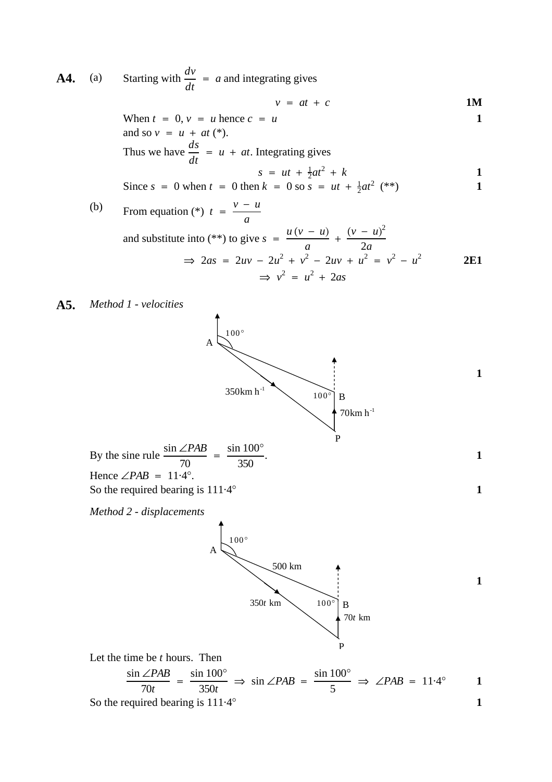**A4.** (a) Starting with  $\frac{dv}{dt} = a$  and integrating gives

$$
v = at + c \qquad \qquad 1M
$$

When 
$$
t = 0
$$
,  $v = u$  hence  $c = u$   
\nand so  $v = u + at (*)$ .  
\nThus we have  $\frac{ds}{dt} = u + at$ . Integrating gives  
\n
$$
s = ut + \frac{1}{2}at^2 + k
$$
\nSince  $s = 0$  when  $t = 0$  then  $k = 0$  so  $s = ut + \frac{1}{2}at^2$  (\*\*)

(b) From equation (\*) 
$$
t = \frac{v - u}{a}
$$
  
and substitute into (\*) to give  $s = \frac{u(v - u)}{a} + \frac{(v - u)^2}{2a}$   
 $\Rightarrow 2as = 2uv - 2u^2 + v^2 - 2uv + u^2 = v^2 - u^2$   
 $\Rightarrow v^2 = u^2 + 2as$ 

**A5.** *Method 1 - velocities*



So the required bearing is  $111.4^{\circ}$  1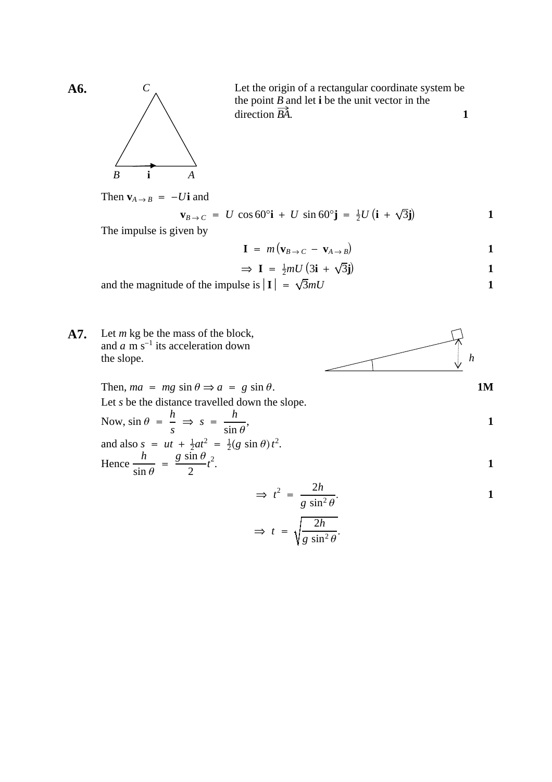

Let the origin of a rectangular coordinate system be the point  $B$  and let **i** be the unit vector in the  $\Delta$  **1**  $\frac{D}{D}$ 

Then  $\mathbf{v}_{A \to B} = -U\mathbf{i}$  and

$$
\mathbf{v}_{B \to C} = U \cos 60^\circ \mathbf{i} + U \sin 60^\circ \mathbf{j} = \frac{1}{2} U (\mathbf{i} + \sqrt{3} \mathbf{j})
$$

The impulse is given by

$$
\mathbf{I} = m(\mathbf{v}_{B \to C} - \mathbf{v}_{A \to B})
$$

$$
\Rightarrow \mathbf{I} = \frac{1}{2}mU(3\mathbf{i} + \sqrt{3}\mathbf{j})
$$

and the magnitude of the impulse is  $|\mathbf{I}| = \sqrt{3mU}$  1

**A7.** Let  $m$  kg be the mass of the block, and  $a$  m s<sup>-1</sup> its acceleration down the slope. *m*  $a \text{ m s}^{-1}$ *<sup>h</sup>*

Then,  $ma = mg \sin \theta \Rightarrow a = g \sin \theta$ . 1M Let *s* be the distance travelled down the slope.

Now, 
$$
\sin \theta = \frac{h}{s} \implies s = \frac{h}{\sin \theta}
$$
,  
and also  $s = ut + \frac{1}{3}at^2 = \frac{1}{3}(\cos \theta)t^2$ 

and also 
$$
s = ut + \frac{1}{2}at^2 = \frac{1}{2}(g \sin \theta)t^2
$$
.  
\nHence  $\frac{h}{\sin \theta} = \frac{g \sin \theta}{2}t^2$ .

$$
\Rightarrow t^2 = \frac{2h}{g \sin^2 \theta}.
$$

$$
\Rightarrow t = \sqrt{\frac{2h}{g \sin^2 \theta}}.
$$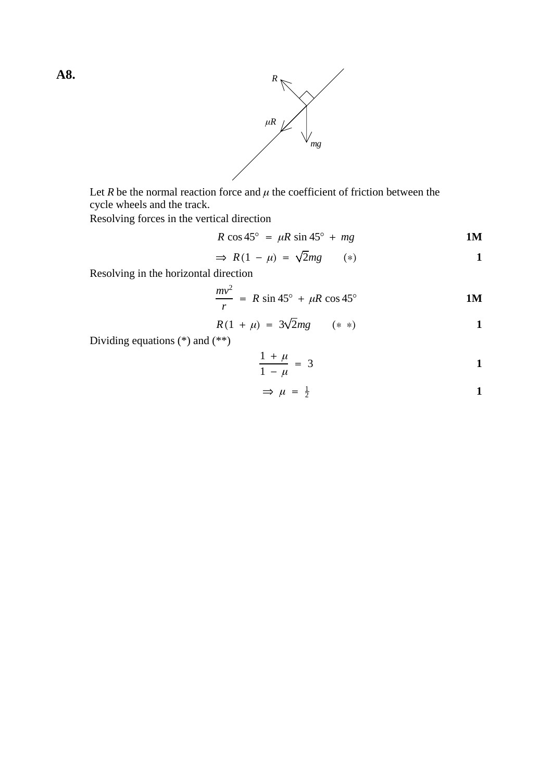



Let R be the normal reaction force and  $\mu$  the coefficient of friction between the cycle wheels and the track.

Resolving forces in the vertical direction

$$
R\cos 45^\circ = \mu R\sin 45^\circ + mg \qquad \qquad 1M
$$

$$
\Rightarrow R(1 - \mu) = \sqrt{2}mg \qquad (*)
$$

Resolving in the horizontal direction

$$
\frac{mv^2}{r} = R \sin 45^\circ + \mu R \cos 45^\circ
$$
 1M

$$
R(1 + \mu) = 3\sqrt{2}mg \qquad (*)
$$
 1

Dividing equations (\*) and (\*\*)

$$
\frac{1+\mu}{1-\mu} = 3
$$

$$
\Rightarrow \mu = \frac{1}{2} \tag{1}
$$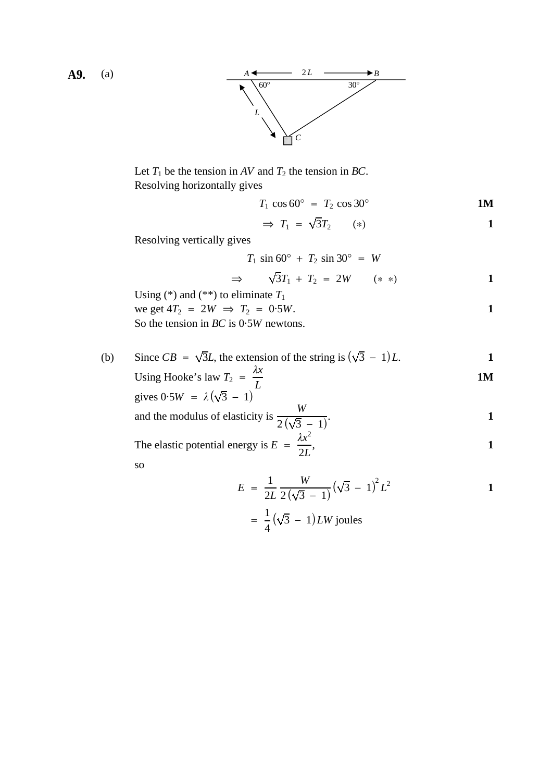

Let  $T_1$  be the tension in AV and  $T_2$  the tension in BC. Resolving horizontally gives

$$
T_1 \cos 60^\circ = T_2 \cos 30^\circ
$$
 1M

$$
\Rightarrow T_1 = \sqrt{3}T_2 \qquad (*) \qquad \qquad 1
$$

Resolving vertically gives

$$
T_1 \sin 60^\circ + T_2 \sin 30^\circ = W
$$

$$
\Rightarrow \qquad \sqrt{3}T_1 + T_2 = 2W \qquad (**) \qquad \qquad 1
$$

Using  $(*)$  and  $(**)$  to eliminate  $T_1$ we get  $4T_2 = 2W \implies T_2 = 0.5W$ . So the tension in *BC* is  $0.5W$  newtons.

(b) Since  $CB = \sqrt{3}L$ , the extension of the string is  $(\sqrt{3} - 1)L$ . Using Hooke's law  $T_2 = \frac{\lambda x}{L}$  **1M** 

gives 
$$
0.5W = \lambda(\sqrt{3} - 1)^L
$$

and the modulus of elasticity is 
$$
\frac{W}{2(\sqrt{3}-1)}
$$
.

The elastic potential energy is  $E = \frac{\lambda x^2}{2L}$ , 1 2*L*

so

$$
E = \frac{1}{2L} \frac{W}{2(\sqrt{3} - 1)} (\sqrt{3} - 1)^2 L^2
$$

$$
= \frac{1}{4} (\sqrt{3} - 1) LW \text{ joules}
$$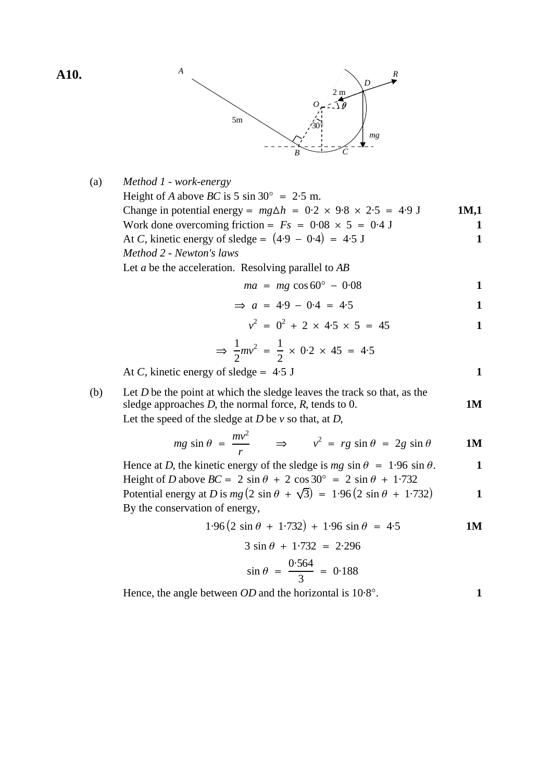**A10.** *<sup>A</sup>*



| (a) | Method 1 - work-energy                                                                                                                   |              |
|-----|------------------------------------------------------------------------------------------------------------------------------------------|--------------|
|     | Height of A above BC is 5 sin 30° = 2.5 m.<br>Change in potential energy = $mg\Delta h = 0.2 \times 9.8 \times 2.5 = 4.9 \text{ J}$      | 1M,1         |
|     | Work done overcoming friction = $Fs = 0.08 \times 5 = 0.4$ J                                                                             | 1            |
|     | At C, kinetic energy of sledge = $(4.9 - 0.4) = 4.5$ J                                                                                   | $\mathbf{1}$ |
|     | Method 2 - Newton's laws                                                                                                                 |              |
|     | Let $a$ be the acceleration. Resolving parallel to $AB$                                                                                  |              |
|     | $ma = mg \cos 60^{\circ} - 0.08$                                                                                                         | 1            |
|     | $\Rightarrow$ a = 4.9 - 0.4 = 4.5                                                                                                        | 1            |
|     | $v^2 = 0^2 + 2 \times 4.5 \times 5 = 45$                                                                                                 | $\mathbf{1}$ |
|     | $\Rightarrow$ $\frac{1}{2}mv^2 = \frac{1}{2} \times 0.2 \times 45 = 4.5$                                                                 |              |
|     | At C, kinetic energy of sledge = $4.5$ J                                                                                                 | $\mathbf{1}$ |
| (b) | Let $D$ be the point at which the sledge leaves the track so that, as the<br>sledge approaches $D$ , the normal force, $R$ , tends to 0. | <b>1M</b>    |
|     | Let the speed of the sledge at $D$ be $\nu$ so that, at $D$ ,                                                                            |              |
|     | $mg \sin \theta = \frac{mv^2}{r}$ $\Rightarrow$ $v^2 = rg \sin \theta = 2g \sin \theta$                                                  | <b>1M</b>    |
|     | Hence at D, the kinetic energy of the sledge is $mg \sin \theta = 1.96 \sin \theta$ .                                                    | 1            |
|     | Height of D above $BC = 2 \sin \theta + 2 \cos 30^{\circ} = 2 \sin \theta + 1.732$                                                       |              |
|     | Potential energy at D is $mg(2 \sin \theta + \sqrt{3}) = 1.96(2 \sin \theta + 1.732)$                                                    | 1            |
|     | By the conservation of energy,                                                                                                           |              |
|     | $1.96(2 \sin \theta + 1.732) + 1.96 \sin \theta = 4.5$                                                                                   | <b>1M</b>    |
|     | $3 \sin \theta + 1.732 = 2.296$                                                                                                          |              |
|     | $\sin \theta = \frac{0.564}{3} = 0.188$                                                                                                  |              |
|     | Hence, the angle between $OD$ and the horizontal is $10.8^{\circ}$ .                                                                     | 1            |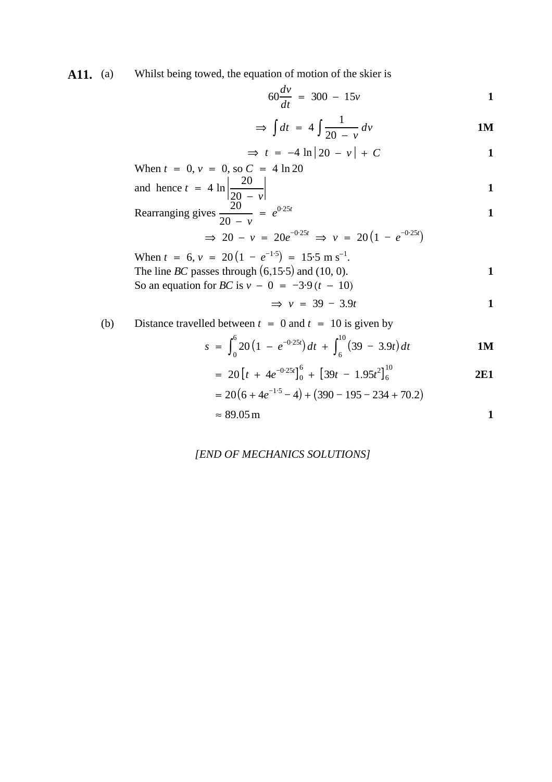A11. (a) Whilst being towed, the equation of motion of the skier is

$$
60\frac{dv}{dt} = 300 - 15v
$$

$$
\Rightarrow \int dt = 4 \int \frac{1}{20 - v} dv
$$

$$
\Rightarrow t = -4 \ln |20 - v| + C
$$

When 
$$
t = 0
$$
,  $v = 0$ , so  $C = 4 \ln 20$   
and hence  $t = 4 \ln \left| \frac{20}{20 - v} \right|$ 

Rearranging gives 
$$
\frac{20}{20 - v} = e^{0.25t}
$$

$$
\Rightarrow 20 - v = 20e^{-0.25t} \Rightarrow v = 20(1 - e^{-0.25t})
$$

When 
$$
t = 6
$$
,  $v = 20(1 - e^{-1.5}) = 15.5 \text{ m s}^{-1}$ .  
The line *BC* passes through (6,15.5) and (10, 0).  
So an equation for *BC* is  $v - 0 = -3.9(t - 10)$ 

$$
\Rightarrow v = 39 - 3.9t
$$

(b) Distance travelled between 
$$
t = 0
$$
 and  $t = 10$  is given by

$$
s = \int_0^6 20 \left( 1 - e^{-0.25t} \right) dt + \int_6^{10} (39 - 3.9t) dt
$$

$$
= 20 \left[ t + 4e^{-0.25t} \right]_0^6 + \left[ 39t - 1.95t^2 \right]_6^{10}
$$
 2E1

$$
= 20(6 + 4e^{-1.5} - 4) + (390 - 195 - 234 + 70.2)
$$
  

$$
\approx 89.05 \text{ m}
$$

*[END OF MECHANICS SOLUTIONS]*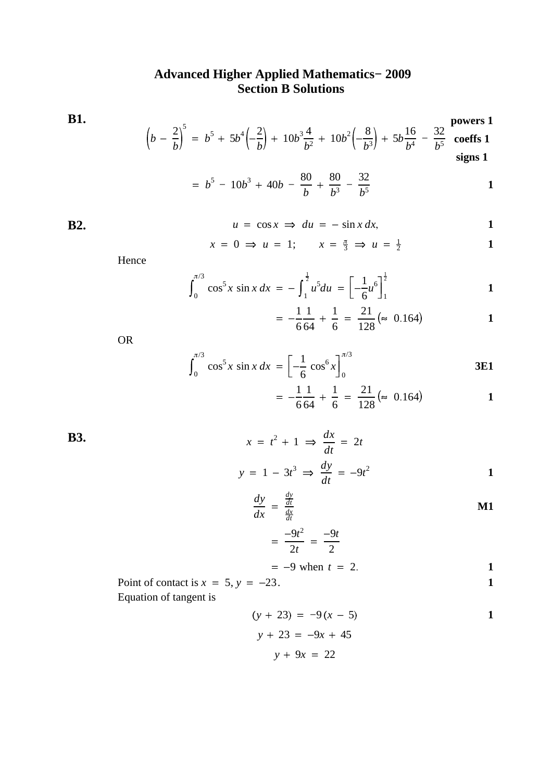### **Advanced Higher Applied Mathematics− 2009 Section B Solutions**

**B1.**  $\left(b-\frac{2}{b}\right)$ 5  $= b^5 + 5b^4\left(-\frac{2}{b}\right) + 10b^3\frac{4}{b^2} + 10b^2\left(-\frac{8}{b^3}\right) + 5b\frac{16}{b^4} - \frac{32}{b^5}$  coeffs 1 **powers 1 signs 1**  $0<sub>0</sub>$ − 32

$$
= b5 - 10b3 + 40b - \frac{80}{b} + \frac{80}{b3} - \frac{32}{b5}
$$

B2. 
$$
u = \cos x \implies du = -\sin x \, dx, \qquad 1
$$

$$
x = 0 \Rightarrow u = 1; \qquad x = \frac{\pi}{3} \Rightarrow u = \frac{1}{2}
$$

Hence

$$
\int_0^{\pi/3} \cos^5 x \sin x \, dx = -\int_1^{\frac{1}{2}} u^5 du = \left[ -\frac{1}{6} u^6 \right]_1^{\frac{1}{2}}
$$

$$
= -\frac{1}{6} \frac{1}{64} + \frac{1}{6} = \frac{21}{128} (\approx 0.164)
$$

OR

$$
\int_0^{\pi/3} \cos^5 x \sin x \, dx = \left[ -\frac{1}{6} \cos^6 x \right]_0^{\pi/3}
$$
3E1  
=  $\frac{1}{1} \frac{1}{1} + \frac{1}{1} = \frac{21}{1} (\approx 0.164)$ 

$$
= -\frac{1}{6} \frac{1}{64} + \frac{1}{6} = \frac{21}{128} (\approx 0.164)
$$

**B3.**  $x = t$ 

$$
x = t2 + 1 \implies \frac{dx}{dt} = 2t
$$
  

$$
y = 1 - 3t3 \implies \frac{dy}{dt} = -9t2
$$

$$
\frac{dy}{dx} = \frac{\frac{dy}{dt}}{\frac{dx}{dt}}
$$

$$
=\frac{-9t^2}{2t}=\frac{-9t}{2}
$$

$$
= -9
$$
 when  $t = 2$ .

Point of contact is 
$$
x = 5
$$
,  $y = -23$ .

Equation of tangent is

$$
(y + 23) = -9(x - 5)
$$
  
\n
$$
y + 23 = -9x + 45
$$
  
\n
$$
y + 9x = 22
$$